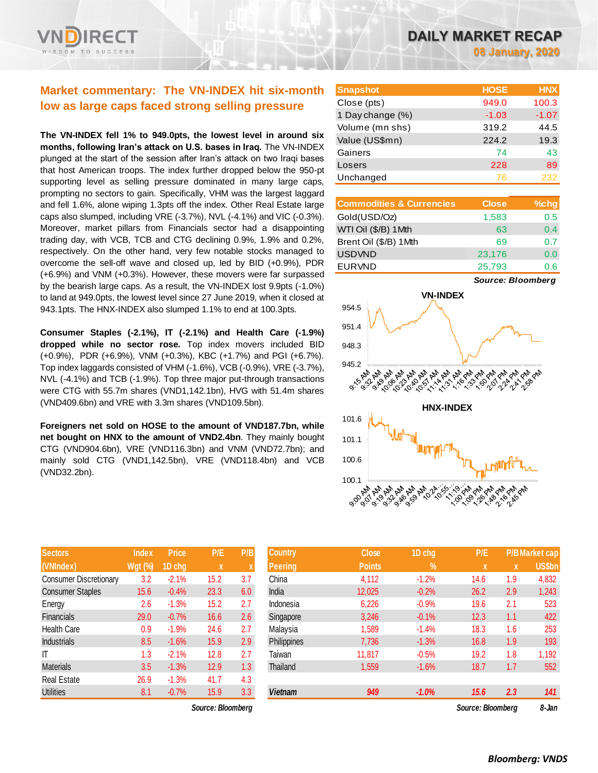# **Market commentary: The VN-INDEX hit six-month low as large caps faced strong selling pressure**

**The VN-INDEX fell 1% to 949.0pts, the lowest level in around six months, following Iran's attack on U.S. bases in Iraq.** The VN-INDEX plunged at the start of the session after Iran's attack on two Iraqi bases that host American troops. The index further dropped below the 950-pt supporting level as selling pressure dominated in many large caps, prompting no sectors to gain. Specifically, VHM was the largest laggard and fell 1.6%, alone wiping 1.3pts off the index. Other Real Estate large caps also slumped, including VRE (-3.7%), NVL (-4.1%) and VIC (-0.3%). Moreover, market pillars from Financials sector had a disappointing trading day, with VCB, TCB and CTG declining 0.9%, 1.9% and 0.2%, respectively. On the other hand, very few notable stocks managed to overcome the sell-off wave and closed up, led by BID (+0.9%), PDR (+6.9%) and VNM (+0.3%). However, these movers were far surpassed by the bearish large caps. As a result, the VN-INDEX lost 9.9pts (-1.0%) to land at 949.0pts, the lowest level since 27 June 2019, when it closed at 943.1pts. The HNX-INDEX also slumped 1.1% to end at 100.3pts.

**Consumer Staples (-2.1%), IT (-2.1%) and Health Care (-1.9%) dropped while no sector rose.** Top index movers included BID (+0.9%), PDR (+6.9%), VNM (+0.3%), KBC (+1.7%) and PGI (+6.7%). Top index laggards consisted of VHM (-1.6%), VCB (-0.9%), VRE (-3.7%), NVL (-4.1%) and TCB (-1.9%). Top three major put-through transactions were CTG with 55.7m shares (VND1,142.1bn), HVG with 51.4m shares (VND409.6bn) and VRE with 3.3m shares (VND109.5bn).

**Foreigners net sold on HOSE to the amount of VND187.7bn, while net bought on HNX to the amount of VND2.4bn**. They mainly bought CTG (VND904.6bn), VRE (VND116.3bn) and VNM (VND72.7bn); and mainly sold CTG (VND1,142.5bn), VRE (VND118.4bn) and VCB (VND32.2bn).

| <b>Sectors</b>                | <b>Index</b>   | Price   | P/E  | P/B |
|-------------------------------|----------------|---------|------|-----|
| (VNIndex)                     | <b>Wgt (%)</b> | 1D chg  | X    | X   |
| <b>Consumer Discretionary</b> | 3.2            | $-2.1%$ | 15.2 | 3.7 |
| <b>Consumer Staples</b>       | 15.6           | $-0.4%$ | 23.3 | 6.0 |
| Energy                        | 2.6            | $-1.3%$ | 15.2 | 2.7 |
| Financials                    | 29.0           | $-0.7%$ | 16.6 | 2.6 |
| <b>Health Care</b>            | 0.9            | $-1.9%$ | 24.6 | 2.7 |
| <b>Industrials</b>            | 8.5            | $-1.6%$ | 15.9 | 2.9 |
| IT                            | 1.3            | $-2.1%$ | 12.8 | 2.7 |
| <b>Materials</b>              | 3.5            | $-1.3%$ | 12.9 | 1.3 |
| <b>Real Estate</b>            | 26.9           | $-1.3%$ | 41.7 | 4.3 |
| <b>Utilities</b>              | 8.1            | $-0.7%$ | 15.9 | 3.3 |

*Source: Bloomberg Source: Bloomberg 8-Jan*

**Snapshot HOSE HNX** Close (pts) 949.0 100.3 1 Day change (%) -1.03 -1.07 Volume (mn shs) 319.2 44.5 Value (US\$mn) 224.2 19.3 Gainers 74 43 Losers 228 89 Unchanged 76 232

| <b>Commodities &amp; Currencies</b> | <b>Close</b> | $%$ chg |
|-------------------------------------|--------------|---------|
| Gold(USD/Oz)                        | 1,583        | 0.5     |
| WTI Oil (\$/B) 1 Mth                | 63           | 0.4     |
| Brent Oil (\$/B) 1Mth               | 69           | 0.7     |
| <b>USDVND</b>                       | 23,176       | 0.0     |
| <b>EURVND</b>                       | 25,793       | 0.6     |

*Source: Bloomberg*



| <b>Sectors</b>          | <b>Index</b>   | <b>Price</b> | P/E               | P/B              | <b>Country</b> | <b>Close</b>  | 1D chg     | P/E               |     | <b>P/B Market cap</b> |
|-------------------------|----------------|--------------|-------------------|------------------|----------------|---------------|------------|-------------------|-----|-----------------------|
| (VNIndex)               | <b>Wgt (%)</b> | 1D cha       | $\mathbf{X}$      |                  | <b>Peering</b> | <b>Points</b> | $\sqrt{2}$ | ΙX.               | X   | US\$bn                |
| Consumer Discretionary  | 3.2            | $-2.1%$      | 15.2              | 3.7              | China          | 4,112         | $-1.2%$    | 14.6              | 1.9 | 4,832                 |
| <b>Consumer Staples</b> | 15.6           | $-0.4%$      | 23.3              | 6.0              | India          | 12,025        | $-0.2%$    | 26.2              | 2.9 | 1,243                 |
| Energy                  | 2.6            | $-1.3%$      | 15.2              | 2.7              | Indonesia      | 6,226         | $-0.9%$    | 19.6              | 2.1 | 523                   |
| Financials              | 29.0           | $-0.7%$      | 16.6              | 2.6              | Singapore      | 3,246         | $-0.1%$    | 12.3              | 1.1 | 422                   |
| Health Care             | 0.9            | $-1.9%$      | 24.6              | 2.7              | Malaysia       | 1,589         | $-1.4%$    | 18.3              | 1.6 | 253                   |
| Industrials             | 8.5            | $-1.6%$      | 15.9              | 2.9              | Philippines    | 7,736         | $-1.3%$    | 16.8              | 1.9 | 193                   |
| Т                       | 1.3            | $-2.1%$      | 12.8              | 2.7              | Taiwan         | 11.817        | $-0.5%$    | 19.2              | 1.8 | 1,192                 |
| Materials               | 3.5            | $-1.3%$      | 12.9              | 1.3 <sup>°</sup> | Thailand       | 1,559         | $-1.6%$    | 18.7              | 1.7 | 552                   |
| Real Estate             | 26.9           | $-1.3%$      | 41.7              | 4.3              |                |               |            |                   |     |                       |
| Utilities               | 8.1            | $-0.7%$      | 15.9              | 3.3              | <b>Vietnam</b> | 949           | $-1.0%$    | 15.6              | 2.3 | 141                   |
|                         |                |              | Source: Bloombera |                  |                |               |            | Source: Bloombera |     | 8-Jan                 |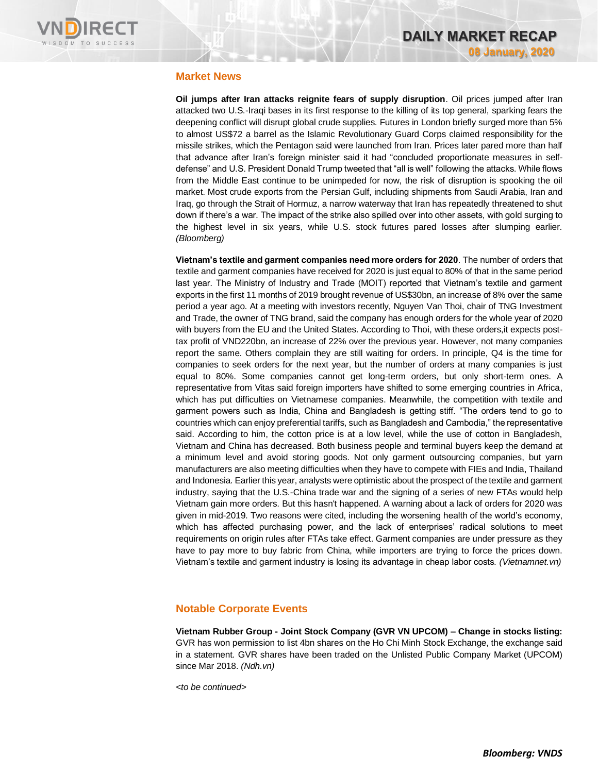

# **Market News**

**Oil jumps after Iran attacks reignite fears of supply disruption**. Oil prices jumped after Iran attacked two U.S.-Iraqi bases in its first response to the killing of its top general, sparking fears the deepening conflict will disrupt global crude supplies. Futures in London briefly surged more than 5% to almost US\$72 a barrel as the Islamic Revolutionary Guard Corps claimed responsibility for the missile strikes, which the Pentagon said were launched from Iran. Prices later pared more than half that advance after Iran's foreign minister said it had "concluded proportionate measures in selfdefense" and U.S. President Donald Trump tweeted that "all is well" following the attacks. While flows from the Middle East continue to be unimpeded for now, the risk of disruption is spooking the oil market. Most crude exports from the Persian Gulf, including shipments from Saudi Arabia, Iran and Iraq, go through the Strait of Hormuz, a narrow waterway that Iran has repeatedly threatened to shut down if there's a war. The impact of the strike also spilled over into other assets, with gold surging to the highest level in six years, while U.S. stock futures pared losses after slumping earlier. *(Bloomberg)*

**Vietnam's textile and garment companies need more orders for 2020**. The number of orders that textile and garment companies have received for 2020 is just equal to 80% of that in the same period last year. The Ministry of Industry and Trade (MOIT) reported that Vietnam's textile and garment exports in the first 11 months of 2019 brought revenue of US\$30bn, an increase of 8% over the same period a year ago. At a meeting with investors recently, Nguyen Van Thoi, chair of TNG Investment and Trade, the owner of TNG brand, said the company has enough orders for the whole year of 2020 with buyers from the EU and the United States. According to Thoi, with these orders,it expects posttax profit of VND220bn, an increase of 22% over the previous year. However, not many companies report the same. Others complain they are still waiting for orders. In principle, Q4 is the time for companies to seek orders for the next year, but the number of orders at many companies is just equal to 80%. Some companies cannot get long-term orders, but only short-term ones. A representative from Vitas said foreign importers have shifted to some emerging countries in Africa, which has put difficulties on Vietnamese companies. Meanwhile, the competition with textile and garment powers such as India, China and Bangladesh is getting stiff. "The orders tend to go to countries which can enjoy preferential tariffs, such as Bangladesh and Cambodia," the representative said. According to him, the cotton price is at a low level, while the use of cotton in Bangladesh, Vietnam and China has decreased. Both business people and terminal buyers keep the demand at a minimum level and avoid storing goods. Not only garment outsourcing companies, but yarn manufacturers are also meeting difficulties when they have to compete with FIEs and India, Thailand and Indonesia. Earlier this year, analysts were optimistic about the prospect of the textile and garment industry, saying that the U.S.-China trade war and the signing of a series of new FTAs would help Vietnam gain more orders. But this hasn't happened. A warning about a lack of orders for 2020 was given in mid-2019. Two reasons were cited, including the worsening health of the world's economy, which has affected purchasing power, and the lack of enterprises' radical solutions to meet requirements on origin rules after FTAs take effect. Garment companies are under pressure as they have to pay more to buy fabric from China, while importers are trying to force the prices down. Vietnam's textile and garment industry is losing its advantage in cheap labor costs*. (Vietnamnet.vn)*

# **Notable Corporate Events**

**Vietnam Rubber Group - Joint Stock Company (GVR VN UPCOM) – Change in stocks listing:**  GVR has won permission to list 4bn shares on the Ho Chi Minh Stock Exchange, the exchange said in a statement. GVR shares have been traded on the Unlisted Public Company Market (UPCOM) since Mar 2018. *(Ndh.vn)*

*<to be continued>*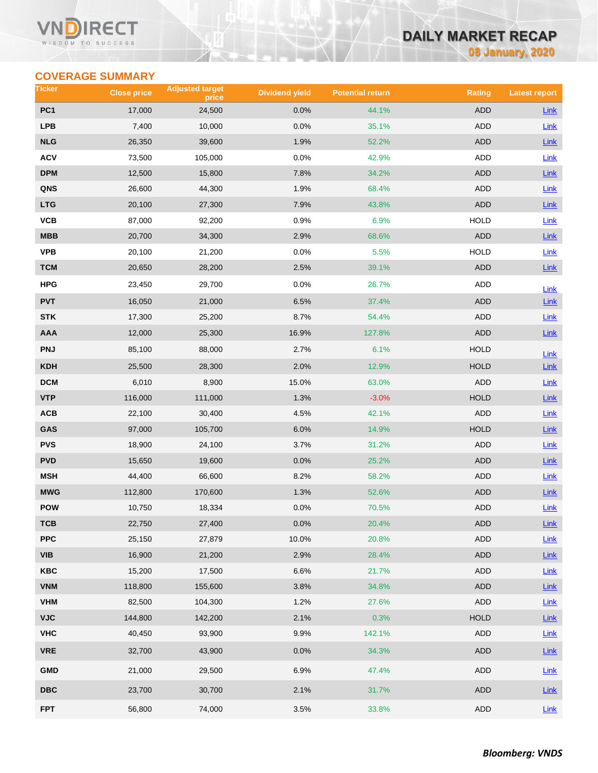### VI ECT WISDOM TO SUCCESS

# **DAILY MARKET RECAP**

**08 January, 2020**

# **COVERAGE SUMMARY**

| Ticker          | <b>Close price</b> | <b>Adjusted target</b><br>price | <b>Dividend yield</b> | <b>Potential return</b> | <b>Rating</b> | <b>Latest report</b> |
|-----------------|--------------------|---------------------------------|-----------------------|-------------------------|---------------|----------------------|
| PC <sub>1</sub> | 17,000             | 24,500                          | 0.0%                  | 44.1%                   | <b>ADD</b>    | Link                 |
| <b>LPB</b>      | 7,400              | 10,000                          | 0.0%                  | 35.1%                   | ADD           | Link                 |
| <b>NLG</b>      | 26,350             | 39,600                          | 1.9%                  | 52.2%                   | <b>ADD</b>    | <b>Link</b>          |
| <b>ACV</b>      | 73,500             | 105,000                         | 0.0%                  | 42.9%                   | ADD           | Link                 |
| <b>DPM</b>      | 12,500             | 15,800                          | 7.8%                  | 34.2%                   | <b>ADD</b>    | Link                 |
| QNS             | 26,600             | 44,300                          | 1.9%                  | 68.4%                   | ADD           | Link                 |
| <b>LTG</b>      | 20,100             | 27,300                          | 7.9%                  | 43.8%                   | ADD           | Link                 |
| VCB             | 87,000             | 92,200                          | 0.9%                  | 6.9%                    | <b>HOLD</b>   | Link                 |
| MBB             | 20,700             | 34,300                          | 2.9%                  | 68.6%                   | <b>ADD</b>    | Link                 |
| <b>VPB</b>      | 20,100             | 21,200                          | 0.0%                  | 5.5%                    | <b>HOLD</b>   | Link                 |
| <b>TCM</b>      | 20,650             | 28,200                          | 2.5%                  | 39.1%                   | ADD           | Link                 |
| HPG             | 23,450             | 29,700                          | 0.0%                  | 26.7%                   | ADD           | Link                 |
| <b>PVT</b>      | 16,050             | 21,000                          | 6.5%                  | 37.4%                   | <b>ADD</b>    | Link                 |
| <b>STK</b>      | 17,300             | 25,200                          | 8.7%                  | 54.4%                   | ADD           | Link                 |
| <b>AAA</b>      | 12,000             | 25,300                          | 16.9%                 | 127.8%                  | <b>ADD</b>    | $Link$               |
| <b>PNJ</b>      | 85,100             | 88,000                          | 2.7%                  | 6.1%                    | <b>HOLD</b>   | Link                 |
| <b>KDH</b>      | 25,500             | 28,300                          | 2.0%                  | 12.9%                   | <b>HOLD</b>   | Link                 |
| <b>DCM</b>      | 6,010              | 8,900                           | 15.0%                 | 63.0%                   | ADD           | <b>Link</b>          |
| <b>VTP</b>      | 116,000            | 111,000                         | 1.3%                  | $-3.0%$                 | <b>HOLD</b>   | Link                 |
| ACB             | 22,100             | 30,400                          | 4.5%                  | 42.1%                   | ADD           | Link                 |
| GAS             | 97,000             | 105,700                         | 6.0%                  | 14.9%                   | <b>HOLD</b>   | <b>Link</b>          |
| <b>PVS</b>      | 18,900             | 24,100                          | 3.7%                  | 31.2%                   | ADD           | Link                 |
| <b>PVD</b>      | 15,650             | 19,600                          | 0.0%                  | 25.2%                   | ADD           | <b>Link</b>          |
| <b>MSH</b>      | 44,400             | 66,600                          | 8.2%                  | 58.2%                   | ADD           | <b>Link</b>          |
| <b>MWG</b>      | 112,800            | 170,600                         | 1.3%                  | 52.6%                   | <b>ADD</b>    | Link                 |
| POW             | 10,750             | 18,334                          | 0.0%                  | 70.5%                   | ADD           | <b>Link</b>          |
| тсв             | 22,750             | 27,400                          | 0.0%                  | 20.4%                   | ADD           | Link                 |
| <b>PPC</b>      | 25,150             | 27,879                          | 10.0%                 | 20.8%                   | ADD           | Link                 |
| <b>VIB</b>      | 16,900             | 21,200                          | 2.9%                  | 28.4%                   | ADD           | $Link$               |
| KBC             | 15,200             | 17,500                          | 6.6%                  | 21.7%                   | ADD           | Link                 |
| <b>VNM</b>      | 118,800            | 155,600                         | 3.8%                  | 34.8%                   | <b>ADD</b>    | $Link$               |
| <b>VHM</b>      | 82,500             | 104,300                         | 1.2%                  | 27.6%                   | ADD           | Link                 |
| <b>VJC</b>      | 144,800            | 142,200                         | 2.1%                  | 0.3%                    | <b>HOLD</b>   | Link                 |
| <b>VHC</b>      | 40,450             | 93,900                          | 9.9%                  | 142.1%                  | ADD           | Link                 |
| <b>VRE</b>      | 32,700             | 43,900                          | 0.0%                  | 34.3%                   | <b>ADD</b>    | Link                 |
| <b>GMD</b>      | 21,000             | 29,500                          | 6.9%                  | 47.4%                   | ADD           | Link                 |
| <b>DBC</b>      | 23,700             | 30,700                          | 2.1%                  | 31.7%                   | ADD           | <b>Link</b>          |
| <b>FPT</b>      | 56,800             | 74,000                          | 3.5%                  | 33.8%                   | ADD           | Link                 |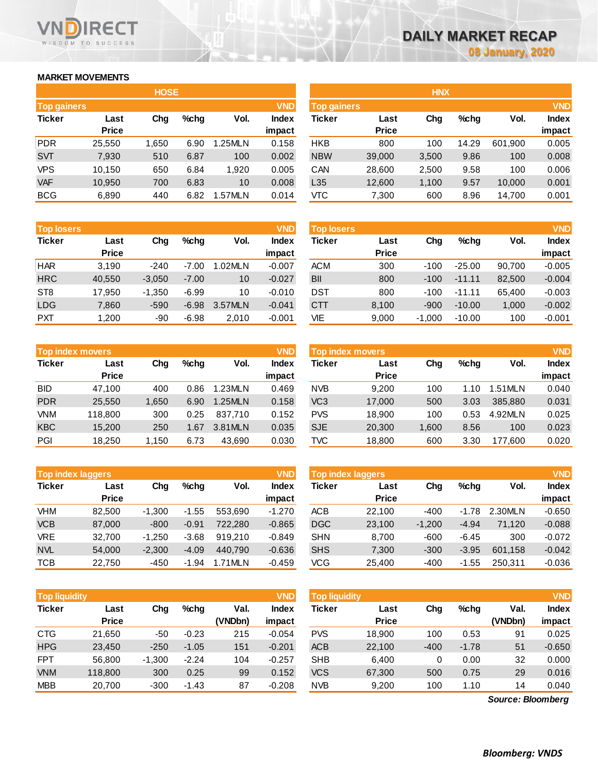## **MARKET MOVEMENTS**

WISDOM TO SUCCESS

RECT

|                    | <b>HOSE</b>  |       |      |         |              |  |  |  |  |  |  |  |
|--------------------|--------------|-------|------|---------|--------------|--|--|--|--|--|--|--|
| <b>Top gainers</b> |              |       |      |         | <b>VND</b>   |  |  |  |  |  |  |  |
| <b>Ticker</b>      | Last         | Cha   | %chq | Vol.    | <b>Index</b> |  |  |  |  |  |  |  |
|                    | <b>Price</b> |       |      |         | impact       |  |  |  |  |  |  |  |
| PDR                | 25,550       | 1,650 | 6.90 | 1.25MLN | 0.158        |  |  |  |  |  |  |  |
| <b>SVT</b>         | 7,930        | 510   | 6.87 | 100     | 0.002        |  |  |  |  |  |  |  |
| <b>VPS</b>         | 10,150       | 650   | 6.84 | 1,920   | 0.005        |  |  |  |  |  |  |  |
| <b>VAF</b>         | 10,950       | 700   | 6.83 | 10      | 0.008        |  |  |  |  |  |  |  |
| <b>BCG</b>         | 6,890        | 440   | 6.82 | 1.57MLN | 0.014        |  |  |  |  |  |  |  |

| <b>Top losers</b> |              |          |         |         | <b>VND</b>   |
|-------------------|--------------|----------|---------|---------|--------------|
| <b>Ticker</b>     | Last         | Cha      | $%$ chq | Vol.    | <b>Index</b> |
|                   | <b>Price</b> |          |         |         | impact       |
| <b>HAR</b>        | 3,190        | $-240$   | $-7.00$ | 1.02MLN | $-0.007$     |
| <b>HRC</b>        | 40,550       | $-3,050$ | $-7.00$ | 10      | $-0.027$     |
| ST <sub>8</sub>   | 17,950       | $-1,350$ | $-6.99$ | 10      | $-0.010$     |
| <b>LDG</b>        | 7,860        | $-590$   | $-6.98$ | 3.57MLN | $-0.041$     |
| <b>PXT</b>        | 1,200        | -90      | $-6.98$ | 2,010   | $-0.001$     |

| <b>VND</b><br><b>Top index movers</b> |              |       |      |         |              |  |  |  |  |  |  |
|---------------------------------------|--------------|-------|------|---------|--------------|--|--|--|--|--|--|
| <b>Ticker</b>                         | Last         | Cha   | %chq | Vol.    | <b>Index</b> |  |  |  |  |  |  |
|                                       | <b>Price</b> |       |      |         | impact       |  |  |  |  |  |  |
| <b>BID</b>                            | 47,100       | 400   | 0.86 | 1.23MLN | 0.469        |  |  |  |  |  |  |
| <b>PDR</b>                            | 25,550       | 1,650 | 6.90 | 1.25MLN | 0.158        |  |  |  |  |  |  |
| <b>VNM</b>                            | 118,800      | 300   | 0.25 | 837,710 | 0.152        |  |  |  |  |  |  |
| <b>KBC</b>                            | 15,200       | 250   | 1.67 | 3.81MLN | 0.035        |  |  |  |  |  |  |
| PGI                                   | 18,250       | 1,150 | 6.73 | 43,690  | 0.030        |  |  |  |  |  |  |

|               | <b>VND</b><br><b>Top index laggers</b> |          |         |         |              |  |  |  |  |  |  |  |  |
|---------------|----------------------------------------|----------|---------|---------|--------------|--|--|--|--|--|--|--|--|
| <b>Ticker</b> | Last                                   | Cha      | %chq    | Vol.    | <b>Index</b> |  |  |  |  |  |  |  |  |
|               | <b>Price</b>                           |          |         |         | impact       |  |  |  |  |  |  |  |  |
| VHM           | 82.500                                 | $-1,300$ | $-1.55$ | 553.690 | $-1.270$     |  |  |  |  |  |  |  |  |
| <b>VCB</b>    | 87,000                                 | $-800$   | $-0.91$ | 722,280 | $-0.865$     |  |  |  |  |  |  |  |  |
| <b>VRE</b>    | 32,700                                 | $-1,250$ | $-3.68$ | 919,210 | $-0.849$     |  |  |  |  |  |  |  |  |
| <b>NVL</b>    | 54,000                                 | $-2,300$ | $-4.09$ | 440.790 | $-0.636$     |  |  |  |  |  |  |  |  |
| <b>TCB</b>    | 22,750                                 | $-450$   | $-1.94$ | 1.71MLN | $-0.459$     |  |  |  |  |  |  |  |  |

| <b>Top liquidity</b> |              |          |         |         | <b>VND</b>   | <b>Top liquidity</b> |              |        |         |                   | <b>VND</b>   |
|----------------------|--------------|----------|---------|---------|--------------|----------------------|--------------|--------|---------|-------------------|--------------|
| Ticker               | Last         | Chg      | $%$ chg | Val.    | <b>Index</b> | Ticker               | Last         | Chg    | $%$ chg | Val.              | <b>Index</b> |
|                      | <b>Price</b> |          |         | (VNDbn) | impact       |                      | <b>Price</b> |        |         | (VNDbn)           | impact       |
| CTG                  | 21,650       | $-50$    | $-0.23$ | 215     | $-0.054$     | <b>PVS</b>           | 18,900       | 100    | 0.53    | 91                | 0.025        |
| <b>HPG</b>           | 23,450       | $-250$   | $-1.05$ | 151     | $-0.201$     | <b>ACB</b>           | 22,100       | $-400$ | $-1.78$ | 51                | $-0.650$     |
| <b>FPT</b>           | 56,800       | $-1,300$ | $-2.24$ | 104     | $-0.257$     | <b>SHB</b>           | 6,400        | 0      | 0.00    | 32                | 0.000        |
| <b>VNM</b>           | 118,800      | 300      | 0.25    | 99      | 0.152        | <b>VCS</b>           | 67,300       | 500    | 0.75    | 29                | 0.016        |
| MBB                  | 20,700       | $-300$   | $-1.43$ | 87      | $-0.208$     | <b>NVB</b>           | 9,200        | 100    | 1.10    | 14                | 0.040        |
|                      |              |          |         |         |              |                      |              |        |         | Source: Bloomberg |              |

*Source: Bloomberg*

|             |              | <b>HOSE</b> |         |         |              |                    |              | <b>HNX</b> |         |         |              |
|-------------|--------------|-------------|---------|---------|--------------|--------------------|--------------|------------|---------|---------|--------------|
| Top gainers |              |             |         |         | <b>VND</b>   | <b>Top gainers</b> |              |            |         |         | <b>VND</b>   |
| Ticker      | Last         | Chg         | $%$ chg | Vol.    | <b>Index</b> | Ticker             | Last         | Chg        | $%$ chg | Vol.    | <b>Index</b> |
|             | <b>Price</b> |             |         |         | impact       |                    | <b>Price</b> |            |         |         | impact       |
| PDR         | 25,550       | 1,650       | 6.90    | 1.25MLN | 0.158        | <b>HKB</b>         | 800          | 100        | 14.29   | 601,900 | 0.005        |
| <b>SVT</b>  | 7,930        | 510         | 6.87    | 100     | 0.002        | <b>NBW</b>         | 39,000       | 3,500      | 9.86    | 100     | 0.008        |
| VPS         | 10.150       | 650         | 6.84    | 1,920   | 0.005        | CAN                | 28,600       | 2,500      | 9.58    | 100     | 0.006        |
| <b>VAF</b>  | 10,950       | 700         | 6.83    | 10      | 0.008        | L35                | 12,600       | 1,100      | 9.57    | 10,000  | 0.001        |
| <b>BCG</b>  | 6,890        | 440         | 6.82    | 1.57MLN | 0.014        | <b>VTC</b>         | 7,300        | 600        | 8.96    | 14,700  | 0.001        |
|             |              |             |         |         |              |                    |              |            |         |         |              |

| <b>Top losers</b> |              |          |         |         | <b>VND</b>   | <b>Top losers</b> |              |          |          |        | <b>VND</b>   |
|-------------------|--------------|----------|---------|---------|--------------|-------------------|--------------|----------|----------|--------|--------------|
| Ticker            | Last         | Chg      | $%$ chq | Vol.    | <b>Index</b> | Ticker            | Last         | Chg      | $%$ chg  | Vol.   | <b>Index</b> |
|                   | <b>Price</b> |          |         |         | impact       |                   | <b>Price</b> |          |          |        | impact       |
| <b>HAR</b>        | 3.190        | $-240$   | $-7.00$ | 1.02MLN | $-0.007$     | <b>ACM</b>        | 300          | $-100$   | $-25.00$ | 90.700 | $-0.005$     |
| <b>HRC</b>        | 40,550       | $-3,050$ | $-7.00$ | 10      | $-0.027$     | BII               | 800          | $-100$   | $-11.11$ | 82,500 | $-0.004$     |
| ST <sub>8</sub>   | 17.950       | $-1.350$ | $-6.99$ | 10      | $-0.010$     | DST               | 800          | $-100$   | $-11.11$ | 65.400 | $-0.003$     |
| LDG               | 7,860        | $-590$   | $-6.98$ | 3.57MLN | $-0.041$     | <b>CTT</b>        | 8,100        | $-900$   | $-10.00$ | 1,000  | $-0.002$     |
| <b>PXT</b>        | 1.200        | -90      | $-6.98$ | 2,010   | $-0.001$     | VIE               | 9,000        | $-1,000$ | $-10.00$ | 100    | $-0.001$     |

| <b>Top index movers</b> |              |       |         |         | <b>VND</b>   | Top index movers |              |       |      |         |              |
|-------------------------|--------------|-------|---------|---------|--------------|------------------|--------------|-------|------|---------|--------------|
| Ticker                  | Last         | Chg   | $%$ chq | Vol.    | <b>Index</b> | Ticker           | Last         | Chg   | %chq | Vol.    | <b>Index</b> |
|                         | <b>Price</b> |       |         |         | impact       |                  | <b>Price</b> |       |      |         | impact       |
| BID                     | 47.100       | 400   | 0.86    | 1.23MLN | 0.469        | <b>NVB</b>       | 9.200        | 100   | 1.10 | .51 MLN | 0.040        |
| <b>PDR</b>              | 25,550       | 1,650 | 6.90    | 1.25MLN | 0.158        | VC <sub>3</sub>  | 17,000       | 500   | 3.03 | 385,880 | 0.031        |
| VNM                     | 118,800      | 300   | 0.25    | 837.710 | 0.152        | <b>PVS</b>       | 18.900       | 100   | 0.53 | 4.92MLN | 0.025        |
| <b>KBC</b>              | 15.200       | 250   | 1.67    | 3.81MLN | 0.035        | <b>SJE</b>       | 20,300       | 1,600 | 8.56 | 100     | 0.023        |
| PGI                     | 18.250       | 1,150 | 6.73    | 43,690  | 0.030        | TVC              | 18,800       | 600   | 3.30 | 177.600 | 0.020        |
|                         |              |       |         |         |              |                  |              |       |      |         |              |

| <b>Top index laggers</b> |              |          |         |         | <b>VND</b> | <b>Top index laggers</b> |              | <b>VND</b> |         |         |              |  |  |
|--------------------------|--------------|----------|---------|---------|------------|--------------------------|--------------|------------|---------|---------|--------------|--|--|
| Ticker                   | Last         | Cha      | $%$ chg | Vol.    | Index      | Ticker                   | Last         | Chg        | $%$ chg | Vol.    | <b>Index</b> |  |  |
|                          | <b>Price</b> |          |         |         | impact     |                          | <b>Price</b> |            |         |         | impact       |  |  |
| VHM                      | 82.500       | $-1.300$ | $-1.55$ | 553.690 | $-1.270$   | <b>ACB</b>               | 22.100       | $-400$     | $-1.78$ | 2.30MLN | $-0.650$     |  |  |
| <b>VCB</b>               | 87,000       | $-800$   | $-0.91$ | 722,280 | $-0.865$   | <b>DGC</b>               | 23,100       | $-1.200$   | $-4.94$ | 71.120  | $-0.088$     |  |  |
| VRE                      | 32.700       | $-1.250$ | $-3.68$ | 919.210 | $-0.849$   | <b>SHN</b>               | 8.700        | $-600$     | -6.45   | 300     | $-0.072$     |  |  |
| <b>NVL</b>               | 54,000       | $-2.300$ | $-4.09$ | 440.790 | $-0.636$   | <b>SHS</b>               | 7,300        | $-300$     | $-3.95$ | 601.158 | $-0.042$     |  |  |
| тсв                      | 22.750       | $-450$   | $-1.94$ | 1.71MLN | $-0.459$   | VCG                      | 25.400       | -400       | $-1.55$ | 250.311 | $-0.036$     |  |  |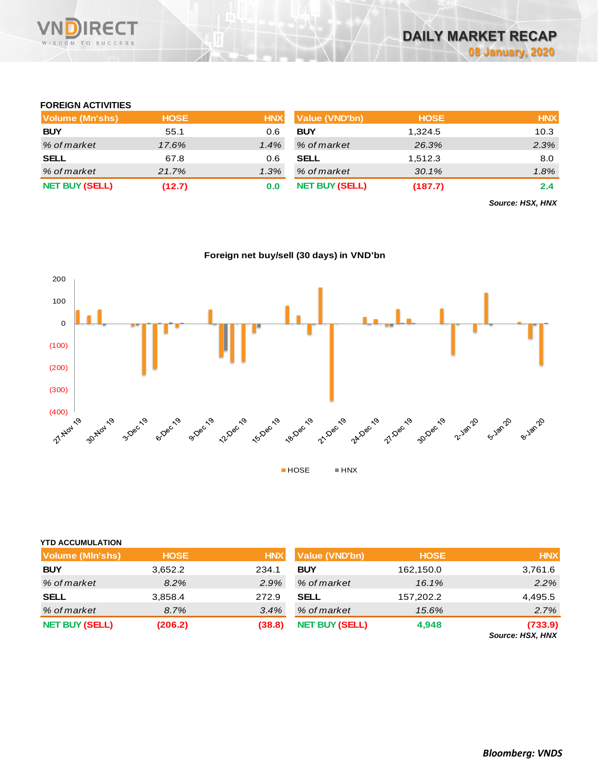

# **FOREIGN ACTIVITIES**

| Volume (Mn'shs)       | <b>HOSE</b> | <b>HNX</b> | <b>Value (VND'bn)</b> | <b>HOSE</b> | <b>HNX</b> |
|-----------------------|-------------|------------|-----------------------|-------------|------------|
| <b>BUY</b>            | 55.1        | 0.6        | <b>BUY</b>            | 1,324.5     | 10.3       |
| % of market           | 17.6%       | 1.4%       | % of market           | 26.3%       | 2.3%       |
| <b>SELL</b>           | 67.8        | 0.6        | <b>SELL</b>           | 1,512.3     | 8.0        |
| % of market           | 21.7%       | 1.3%       | % of market           | 30.1%       | 1.8%       |
| <b>NET BUY (SELL)</b> | (12.7)      | 0.0        | <b>NET BUY (SELL)</b> | (187.7)     | 2.4        |

*Source: HSX, HNX*



### **Foreign net buy/sell (30 days) in VND'bn**

| <b>YTD ACCUMULATION</b> |             |                                     |                       |             |                             |
|-------------------------|-------------|-------------------------------------|-----------------------|-------------|-----------------------------|
| <b>Volume (MIn'shs)</b> | <b>HOSE</b> | <b>Value (VND'bn)</b><br><b>HNX</b> |                       | <b>HOSE</b> | <b>HNX</b>                  |
| <b>BUY</b>              | 3,652.2     | 234.1                               | <b>BUY</b>            | 162,150.0   | 3,761.6                     |
| % of market             | 8.2%        | 2.9%                                | % of market           | 16.1%       | 2.2%                        |
| <b>SELL</b>             | 3,858.4     | 272.9                               | <b>SELL</b>           | 157,202.2   | 4,495.5                     |
| % of market             | 8.7%        | 3.4%                                | % of market           | 15.6%       | 2.7%                        |
| <b>NET BUY (SELL)</b>   | (206.2)     | (38.8)                              | <b>NET BUY (SELL)</b> | 4,948       | (733.9)<br>Source: HSX, HNX |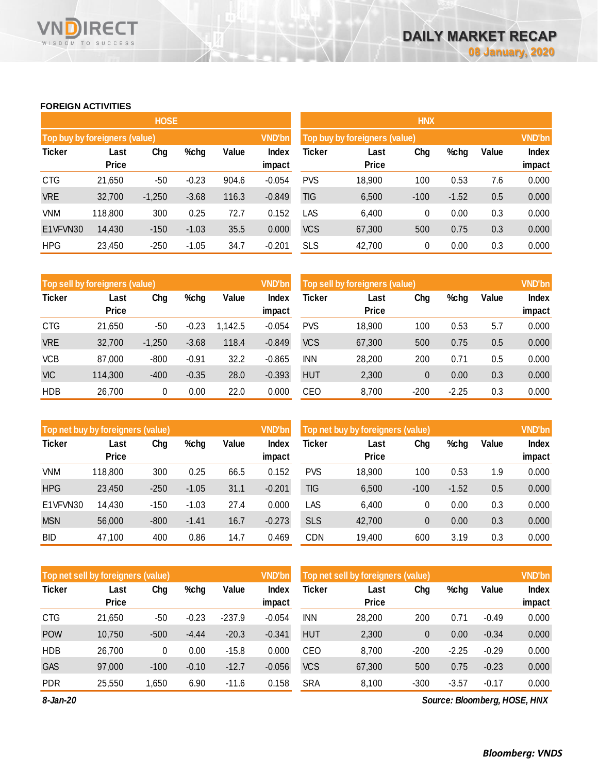## **FOREIGN ACTIVITIES**

WISDOM TO SUCCESS

**RECT** 

**VN** 

n

|                               |                      | <b>HOSE</b> |         |       |                        |            |                               | <b>HNX</b> |         |       |                 |  |  |  |  |
|-------------------------------|----------------------|-------------|---------|-------|------------------------|------------|-------------------------------|------------|---------|-------|-----------------|--|--|--|--|
| Top buy by foreigners (value) |                      |             |         |       | <b>VND'bn</b>          |            | Top buy by foreigners (value) |            |         |       | <b>VND'bn</b>   |  |  |  |  |
| <b>Ticker</b>                 | Last<br><b>Price</b> | Chg         | %chg    | Value | <b>Index</b><br>impact | Ticker     | Last<br>Price                 | Chg        | %chg    | Value | Index<br>impact |  |  |  |  |
| <b>CTG</b>                    | 21,650               | -50         | $-0.23$ | 904.6 | $-0.054$               | <b>PVS</b> | 18,900                        | 100        | 0.53    | 7.6   | 0.000           |  |  |  |  |
| <b>VRE</b>                    | 32,700               | $-1,250$    | $-3.68$ | 116.3 | $-0.849$               | TIG        | 6,500                         | $-100$     | $-1.52$ | 0.5   | 0.000           |  |  |  |  |
| <b>VNM</b>                    | 118,800              | 300         | 0.25    | 72.7  | 0.152                  | LAS        | 6,400                         | 0          | 0.00    | 0.3   | 0.000           |  |  |  |  |
| E1VFVN30                      | 14,430               | $-150$      | $-1.03$ | 35.5  | 0.000                  | <b>VCS</b> | 67,300                        | 500        | 0.75    | 0.3   | 0.000           |  |  |  |  |
| <b>HPG</b>                    | 23,450               | $-250$      | $-1.05$ | 34.7  | $-0.201$               | <b>SLS</b> | 42,700                        | 0          | 0.00    | 0.3   | 0.000           |  |  |  |  |

|               | Top sell by foreigners (value) |          |         |         | <b>VND'bn</b> | Top sell by foreigners (value) |              |              |         |       | <b>VND'bn</b> |
|---------------|--------------------------------|----------|---------|---------|---------------|--------------------------------|--------------|--------------|---------|-------|---------------|
| <b>Ticker</b> | Last                           | Chg      | %chg    | Value   | Index         | Ticker                         | Last         | Chg          | %chg    | Value | Index         |
|               | <b>Price</b>                   |          |         |         | impact        |                                | <b>Price</b> |              |         |       | impact        |
| <b>CTG</b>    | 21,650                         | -50      | $-0.23$ | 1.142.5 | $-0.054$      | <b>PVS</b>                     | 18,900       | 100          | 0.53    | 5.7   | 0.000         |
| <b>VRE</b>    | 32,700                         | $-1,250$ | $-3.68$ | 118.4   | $-0.849$      | <b>VCS</b>                     | 67,300       | 500          | 0.75    | 0.5   | 0.000         |
| <b>VCB</b>    | 87,000                         | $-800$   | $-0.91$ | 32.2    | $-0.865$      | <b>INN</b>                     | 28,200       | 200          | 0.71    | 0.5   | 0.000         |
| <b>VIC</b>    | 114,300                        | $-400$   | $-0.35$ | 28.0    | $-0.393$      | <b>HUT</b>                     | 2,300        | $\mathbf{0}$ | 0.00    | 0.3   | 0.000         |
| <b>HDB</b>    | 26,700                         | 0        | 0.00    | 22.0    | 0.000         | CEO                            | 8,700        | $-200$       | $-2.25$ | 0.3   | 0.000         |

|               | Top net buy by foreigners (value) |        |         |       | <b>VND'bn</b> | Top net buy by foreigners (value) |              |        |         |       | <b>VND'bn</b> |
|---------------|-----------------------------------|--------|---------|-------|---------------|-----------------------------------|--------------|--------|---------|-------|---------------|
| <b>Ticker</b> | Last                              | Chg    | %chg    | Value | Index         | Ticker                            | Last         | Chg    | %chg    | Value | Index         |
|               | <b>Price</b>                      |        |         |       | impact        |                                   | <b>Price</b> |        |         |       | impact        |
| VNM           | 118,800                           | 300    | 0.25    | 66.5  | 0.152         | PVS                               | 18,900       | 100    | 0.53    | 1.9   | 0.000         |
| <b>HPG</b>    | 23,450                            | $-250$ | $-1.05$ | 31.1  | $-0.201$      | TIG                               | 6,500        | $-100$ | $-1.52$ | 0.5   | 0.000         |
| E1VFVN30      | 14,430                            | $-150$ | $-1.03$ | 27.4  | 0.000         | LAS                               | 6,400        | 0      | 0.00    | 0.3   | 0.000         |
| <b>MSN</b>    | 56,000                            | $-800$ | $-1.41$ | 16.7  | $-0.273$      | <b>SLS</b>                        | 42,700       | 0      | 0.00    | 0.3   | 0.000         |
| <b>BID</b>    | 47,100                            | 400    | 0.86    | 14.7  | 0.469         | CDN                               | 19,400       | 600    | 3.19    | 0.3   | 0.000         |

| Top net sell by foreigners (value) |              |        |         |          | <b>VND'bn</b> | Top net sell by foreigners (value) |              |        |         |         | <b>VND'bn</b> |
|------------------------------------|--------------|--------|---------|----------|---------------|------------------------------------|--------------|--------|---------|---------|---------------|
| <b>Ticker</b>                      | Last         | Chg    | %chg    | Value    | Index         | Ticker                             | Last         | Chg    | %chg    | Value   | <b>Index</b>  |
|                                    | <b>Price</b> |        |         |          | impact        |                                    | <b>Price</b> |        |         |         | impact        |
| <b>CTG</b>                         | 21,650       | -50    | $-0.23$ | $-237.9$ | $-0.054$      | <b>INN</b>                         | 28,200       | 200    | 0.71    | $-0.49$ | 0.000         |
| <b>POW</b>                         | 10,750       | $-500$ | $-4.44$ | $-20.3$  | $-0.341$      | <b>HUT</b>                         | 2,300        | 0      | 0.00    | $-0.34$ | 0.000         |
| <b>HDB</b>                         | 26,700       | 0      | 0.00    | $-15.8$  | 0.000         | CEO                                | 8,700        | $-200$ | $-2.25$ | $-0.29$ | 0.000         |
| <b>GAS</b>                         | 97,000       | $-100$ | $-0.10$ | $-12.7$  | $-0.056$      | <b>VCS</b>                         | 67,300       | 500    | 0.75    | $-0.23$ | 0.000         |
| <b>PDR</b>                         | 25,550       | 650,   | 6.90    | $-11.6$  | 0.158         | <b>SRA</b>                         | 8,100        | $-300$ | $-3.57$ | $-0.17$ | 0.000         |

*8-Jan-20*

*Source: Bloomberg, HOSE, HNX*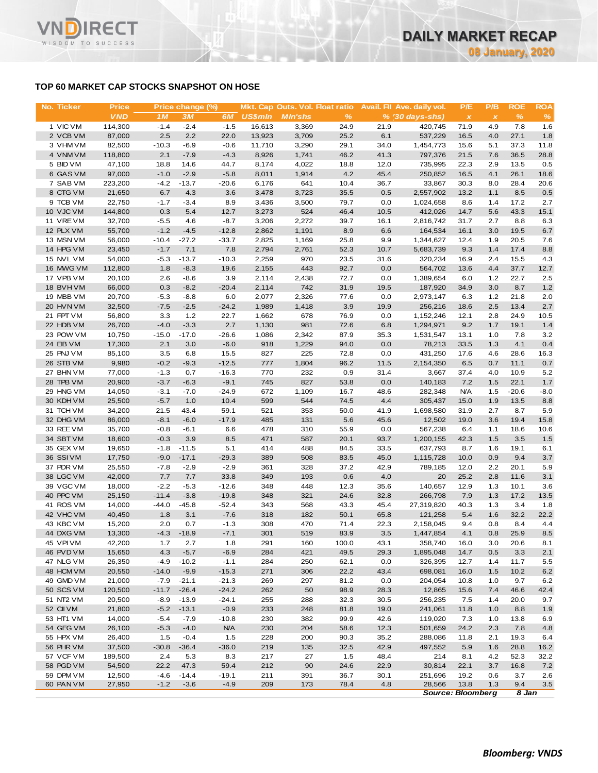# **TOP 60 MARKET CAP STOCKS SNAPSHOT ON HOSE**

**RECT** 

WISDOM TO SUCCESS

VND

| No. Ticker             | <b>Price</b>      |                  | Price change (%)   |                   |                | Mkt. Cap Outs. Vol. Float ratio |              |              | Avail. Fil Ave. daily vol. | P/E          | P/B          | <b>ROE</b>   | <b>ROA</b>    |
|------------------------|-------------------|------------------|--------------------|-------------------|----------------|---------------------------------|--------------|--------------|----------------------------|--------------|--------------|--------------|---------------|
|                        | <b>VND</b>        | 1M               | 3M                 | 6M                | <b>US\$mln</b> | <b>MIn'shs</b>                  | %            |              | $% (30 days-shs)$          | $\pmb{\chi}$ | $\pmb{\chi}$ | $\%$         | $\frac{9}{6}$ |
| 1 VIC VM               | 114,300           | $-1.4$           | $-2.4$             | $-1.5$            | 16,613         | 3,369                           | 24.9         | 21.9         | 420,745                    | 71.9         | 4.9          | 7.8          | 1.6           |
| 2 VCB VM               | 87,000            | 2.5              | 2.2                | 22.0              | 13,923         | 3,709                           | 25.2         | 6.1          | 537,229                    | 16.5         | 4.0          | 27.1         | 1.8           |
| 3 VHM VM               | 82,500            | $-10.3$          | $-6.9$             | $-0.6$            | 11,710         | 3,290                           | 29.1         | 34.0         | 1,454,773                  | 15.6         | 5.1          | 37.3         | 11.8          |
| 4 VNM VM               | 118,800           | 2.1              | $-7.9$             | $-4.3$            | 8,926          | 1,741                           | 46.2         | 41.3         | 797,376                    | 21.5         | 7.6          | 36.5         | 28.8          |
| 5 BID VM               | 47,100            | 18.8             | 14.6               | 44.7              | 8,174          | 4,022                           | 18.8         | 12.0         | 735,995                    | 22.3         | 2.9          | 13.5         | 0.5           |
| 6 GAS VM               | 97,000            | $-1.0$           | $-2.9$             | $-5.8$            | 8,011          | 1,914                           | 4.2          | 45.4         | 250,852                    | 16.5         | 4.1          | 26.1         | 18.6          |
| 7 SAB VM<br>8 CTG VM   | 223,200<br>21,650 | $-4.2$<br>6.7    | $-13.7$<br>4.3     | $-20.6$<br>3.6    | 6,176<br>3,478 | 641<br>3,723                    | 10.4<br>35.5 | 36.7<br>0.5  | 33,867<br>2,557,902        | 30.3<br>13.2 | 8.0<br>1.1   | 28.4<br>8.5  | 20.6<br>0.5   |
| 9 TCB VM               | 22,750            | $-1.7$           | $-3.4$             | 8.9               | 3,436          | 3,500                           | 79.7         | 0.0          | 1,024,658                  | 8.6          | 1.4          | 17.2         | 2.7           |
| 10 VJC VM              | 144,800           | 0.3              | 5.4                | 12.7              | 3,273          | 524                             | 46.4         | 10.5         | 412,026                    | 14.7         | 5.6          | 43.3         | 15.1          |
| 11 VRE VM              | 32,700            | $-5.5$           | 4.6                | $-8.7$            | 3,206          | 2,272                           | 39.7         | 16.1         | 2,816,742                  | 31.7         | 2.7          | 8.8          | 6.3           |
| 12 PLX VM              | 55,700            | $-1.2$           | $-4.5$             | $-12.8$           | 2,862          | 1,191                           | 8.9          | 6.6          | 164,534                    | 16.1         | 3.0          | 19.5         | 6.7           |
| 13 MSN VM              | 56,000            | $-10.4$          | $-27.2$            | $-33.7$           | 2,825          | 1,169                           | 25.8         | 9.9          | 1,344,627                  | 12.4         | 1.9          | 20.5         | 7.6           |
| 14 HPG VM              | 23,450            | $-1.7$           | 7.1                | 7.8               | 2,794          | 2,761                           | 52.3         | 10.7         | 5,683,739                  | 9.3          | 1.4          | 17.4         | 8.8           |
| 15 NVL VM              | 54,000            | $-5.3$           | $-13.7$            | $-10.3$           | 2,259          | 970                             | 23.5         | 31.6         | 320,234                    | 16.9         | 2.4          | 15.5         | 4.3           |
| 16 MWG VM              | 112,800           | 1.8              | $-8.3$             | 19.6              | 2,155          | 443                             | 92.7         | 0.0          | 564,702                    | 13.6         | 4.4          | 37.7         | 12.7          |
| 17 VPB VM              | 20,100            | 2.6              | $-8.6$             | 3.9               | 2,114          | 2,438                           | 72.7         | 0.0          | 1,389,654                  | 6.0          | 1.2          | 22.7         | 2.5           |
| 18 BVHVM               | 66,000            | 0.3              | $-8.2$             | $-20.4$           | 2,114          | 742                             | 31.9         | 19.5         | 187,920                    | 34.9         | 3.0          | 8.7          | 1.2           |
| 19 MBB VM              | 20,700            | $-5.3$           | $-8.8$             | 6.0               | 2,077          | 2,326                           | 77.6         | 0.0          | 2,973,147                  | 6.3          | 1.2          | 21.8         | 2.0           |
| 20 HVN VM              | 32,500            | $-7.5$           | $-2.5$             | $-24.2$           | 1,989          | 1,418                           | 3.9          | 19.9         | 256,216                    | 18.6         | 2.5          | 13.4         | 2.7           |
| 21 FPT VM              | 56,800            | 3.3              | 1.2                | 22.7              | 1,662          | 678                             | 76.9         | 0.0          | 1,152,246                  | 12.1         | 2.8          | 24.9         | 10.5          |
| 22 HDB VM              | 26,700            | $-4.0$           | $-3.3$             | 2.7               | 1,130          | 981                             | 72.6         | 6.8          | 1,294,971                  | 9.2          | 1.7          | 19.1         | 1.4           |
| 23 POW VM              | 10,750            | $-15.0$          | $-17.0$            | $-26.6$           | 1,086          | 2,342                           | 87.9         | 35.3         | 1,531,547                  | 13.1         | 1.0          | 7.8          | 3.2           |
| 24 EIB VM              | 17,300            | 2.1              | 3.0                | $-6.0$            | 918            | 1,229                           | 94.0         | 0.0          | 78,213                     | 33.5         | 1.3          | 4.1          | 0.4           |
| 25 PNJ VM              | 85,100            | 3.5              | 6.8                | 15.5              | 827            | 225                             | 72.8         | 0.0          | 431,250                    | 17.6         | 4.6          | 28.6         | 16.3          |
| 26 STB VM              | 9,980             | $-0.2$           | $-9.3$             | $-12.5$           | 777            | 1,804                           | 96.2         | 11.5         | 2,154,350                  | 6.5          | 0.7          | 11.1         | 0.7           |
| 27 BHN VM<br>28 TPB VM | 77,000<br>20,900  | $-1.3$<br>$-3.7$ | 0.7<br>$-6.3$      | $-16.3$<br>$-9.1$ | 770<br>745     | 232<br>827                      | 0.9<br>53.8  | 31.4<br>0.0  | 3,667<br>140,183           | 37.4<br>7.2  | 4.0<br>1.5   | 10.9<br>22.1 | 5.2<br>1.7    |
| 29 HNG VM              | 14,050            | $-3.1$           | $-7.0$             | $-24.9$           | 672            | 1,109                           | 16.7         | 48.6         | 282,348                    | <b>N/A</b>   | 1.5          | $-20.6$      | $-8.0$        |
| 30 KDH VM              | 25,500            | $-5.7$           | 1.0                | 10.4              | 599            | 544                             | 74.5         | 4.4          | 305,437                    | 15.0         | 1.9          | 13.5         | 8.8           |
| 31 TCH VM              | 34,200            | 21.5             | 43.4               | 59.1              | 521            | 353                             | 50.0         | 41.9         | 1,698,580                  | 31.9         | 2.7          | 8.7          | 5.9           |
| 32 DHG VM              | 86,000            | $-8.1$           | $-6.0$             | $-17.9$           | 485            | 131                             | 5.6          | 45.6         | 12,502                     | 19.0         | 3.6          | 19.4         | 15.8          |
| 33 REE VM              | 35,700            | $-0.8$           | $-6.1$             | 6.6               | 478            | 310                             | 55.9         | 0.0          | 567,238                    | 6.4          | 1.1          | 18.6         | 10.6          |
| 34 SBT VM              | 18,600            | $-0.3$           | 3.9                | 8.5               | 471            | 587                             | 20.1         | 93.7         | 1,200,155                  | 42.3         | 1.5          | 3.5          | 1.5           |
| 35 GEX VM              | 19,650            | $-1.8$           | $-11.5$            | 5.1               | 414            | 488                             | 84.5         | 33.5         | 637,793                    | 8.7          | 1.6          | 19.1         | 6.1           |
| 36 SSIVM               | 17,750            | $-9.0$           | $-17.1$            | $-29.3$           | 389            | 508                             | 83.5         | 45.0         | 1,115,728                  | 10.0         | 0.9          | 9.4          | 3.7           |
| 37 PDR VM              | 25,550            | $-7.8$           | $-2.9$             | $-2.9$            | 361            | 328                             | 37.2         | 42.9         | 789,185                    | 12.0         | 2.2          | 20.1         | 5.9           |
| 38 LGC VM              | 42,000            | 7.7              | 7.7                | 33.8              | 349            | 193                             | 0.6          | 4.0          | 20                         | 25.2         | 2.8          | 11.6         | 3.1           |
| 39 VGC VM              | 18,000            | $-2.2$           | $-5.3$             | $-12.6$           | 348            | 448                             | 12.3         | 35.6         | 140,657                    | 12.9         | 1.3          | 10.1         | 3.6           |
| 40 PPC VM              | 25,150            | $-11.4$          | $-3.8$             | $-19.8$           | 348            | 321                             | 24.6         | 32.8         | 266,798                    | 7.9          | 1.3          | 17.2         | 13.5          |
| 41 ROS VM              | 14,000            | -44.0            | $-45.8$            | -52.4             | 343            | 568                             | 43.3         | 45.4         | 27,319,820                 | 40.3         | 1.3          | 3.4          | 1.8           |
| 42 VHC VM              | 40,450            | 1.8              | 3.1                | $-7.6$            | 318            | 182                             | 50.1         | 65.8         | 121,258                    | 5.4          | 1.6          | 32.2         | 22.2          |
| 43 KBC VM              | 15,200            | 2.0              | 0.7                | $-1.3$            | 308            | 470                             | 71.4         | 22.3         | 2,158,045                  | 9.4          | 0.8          | 8.4          | 4.4           |
| 44 DXG VM              | 13,300            | $-4.3$           | $-18.9$            | $-7.1$            | 301            | 519                             | 83.9         | 3.5          | 1,447,854                  | 4.1          | 0.8          | 25.9         | 8.5           |
| 45 VPI VM              | 42,200            | 1.7              | 2.7                | 1.8               | 291            | 160                             | 100.0        | 43.1         | 358,740                    | 16.0         | 3.0          | 20.6         | 8.1           |
| 46 PVD VM              | 15,650            | 4.3              | $-5.7$             | $-6.9$            | 284            | 421                             | 49.5         | 29.3         | 1,895,048                  | 14.7         | 0.5          | 3.3          | 2.1           |
| 47 NLG VM              | 26,350            | -4.9             | $-10.2$            | $-1.1$            | 284            | 250                             | 62.1         | 0.0          | 326,395                    | 12.7         | 1.4          | 11.7         | 5.5           |
| 48 HCM VM              | 20,550            | $-14.0$          | $-9.9$             | $-15.3$           | 271            | 306                             | 22.2         | 43.4         | 698,081                    | 16.0         | 1.5          | 10.2         | 6.2           |
| 49 GMD VM<br>50 SCS VM | 21,000<br>120,500 | $-7.9$           | $-21.1$            | $-21.3$           | 269            | 297                             | 81.2         | 0.0          | 204,054                    | 10.8         | 1.0          | 9.7          | 6.2           |
|                        |                   | $-11.7$          | $-26.4$            | $-24.2$           | 262            | 50                              | 98.9         | 28.3         | 12,865                     | 15.6         | 7.4          | 46.6         | 42.4          |
| 51 NT2 VM<br>52 CII VM | 20,500<br>21,800  | $-8.9$<br>$-5.2$ | $-13.9$<br>$-13.1$ | $-24.1$<br>$-0.9$ | 255<br>233     | 288<br>248                      | 32.3<br>81.8 | 30.5<br>19.0 | 256,235<br>241,061         | 7.5<br>11.8  | 1.4<br>1.0   | 20.0<br>8.8  | 9.7<br>1.9    |
| 53 HT1 VM              | 14,000            | $-5.4$           | $-7.9$             | $-10.8$           | 230            | 382                             | 99.9         | 42.6         | 119,020                    | 7.3          | 1.0          | 13.8         | 6.9           |
| 54 GEG VM              | 26,100            | $-5.3$           | $-4.0$             | <b>N/A</b>        | 230            | 204                             | 58.6         | 12.3         | 501,659                    | 24.2         | 2.3          | 7.8          | 4.8           |
| 55 HPX VM              | 26,400            | 1.5              | $-0.4$             | 1.5               | 228            | 200                             | 90.3         | 35.2         | 288,086                    | 11.8         | 2.1          | 19.3         | 6.4           |
| 56 PHR VM              | 37,500            | $-30.8$          | $-36.4$            | $-36.0$           | 219            | 135                             | 32.5         | 42.9         | 497,552                    | 5.9          | 1.6          | 28.8         | 16.2          |
| 57 VCF VM              | 189,500           | 2.4              | 5.3                | 8.3               | 217            | 27                              | 1.5          | 48.4         | 214                        | 8.1          | 4.2          | 52.3         | 32.2          |
| 58 PGD VM              | 54,500            | 22.2             | 47.3               | 59.4              | 212            | 90                              | 24.6         | 22.9         | 30,814                     | 22.1         | 3.7          | 16.8         | 7.2           |
| 59 DPM VM              | 12,500            | $-4.6$           | $-14.4$            | $-19.1$           | 211            | 391                             | 36.7         | 30.1         | 251,696                    | 19.2         | 0.6          | 3.7          | 2.6           |
|                        |                   |                  |                    |                   |                |                                 |              |              |                            |              |              |              |               |